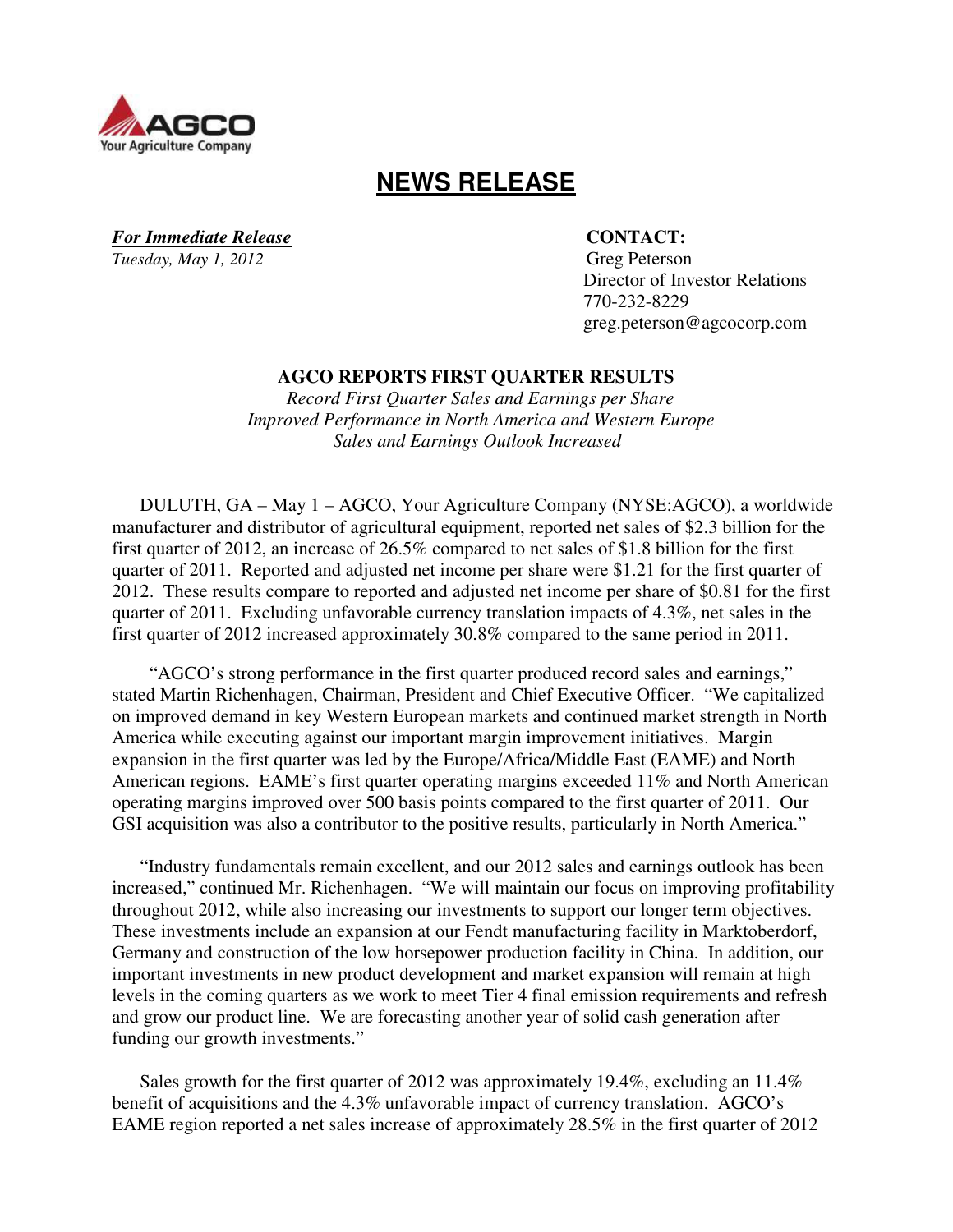

# **NEWS RELEASE**

*For Immediate Release* **CONTACT:** *Tuesday, May 1, 2012* Greg Peterson

 Director of Investor Relations 770-232-8229 greg.peterson@agcocorp.com

# **AGCO REPORTS FIRST QUARTER RESULTS**

 *Record First Quarter Sales and Earnings per Share Improved Performance in North America and Western Europe Sales and Earnings Outlook Increased*

DULUTH, GA – May 1 – AGCO, Your Agriculture Company (NYSE:AGCO), a worldwide manufacturer and distributor of agricultural equipment, reported net sales of \$2.3 billion for the first quarter of 2012, an increase of 26.5% compared to net sales of \$1.8 billion for the first quarter of 2011. Reported and adjusted net income per share were \$1.21 for the first quarter of 2012. These results compare to reported and adjusted net income per share of \$0.81 for the first quarter of 2011. Excluding unfavorable currency translation impacts of 4.3%, net sales in the first quarter of 2012 increased approximately 30.8% compared to the same period in 2011.

 "AGCO's strong performance in the first quarter produced record sales and earnings," stated Martin Richenhagen, Chairman, President and Chief Executive Officer. "We capitalized on improved demand in key Western European markets and continued market strength in North America while executing against our important margin improvement initiatives. Margin expansion in the first quarter was led by the Europe/Africa/Middle East (EAME) and North American regions. EAME's first quarter operating margins exceeded 11% and North American operating margins improved over 500 basis points compared to the first quarter of 2011. Our GSI acquisition was also a contributor to the positive results, particularly in North America."

"Industry fundamentals remain excellent, and our 2012 sales and earnings outlook has been increased," continued Mr. Richenhagen. "We will maintain our focus on improving profitability throughout 2012, while also increasing our investments to support our longer term objectives. These investments include an expansion at our Fendt manufacturing facility in Marktoberdorf, Germany and construction of the low horsepower production facility in China. In addition, our important investments in new product development and market expansion will remain at high levels in the coming quarters as we work to meet Tier 4 final emission requirements and refresh and grow our product line. We are forecasting another year of solid cash generation after funding our growth investments."

Sales growth for the first quarter of 2012 was approximately 19.4%, excluding an 11.4% benefit of acquisitions and the 4.3% unfavorable impact of currency translation. AGCO's EAME region reported a net sales increase of approximately 28.5% in the first quarter of 2012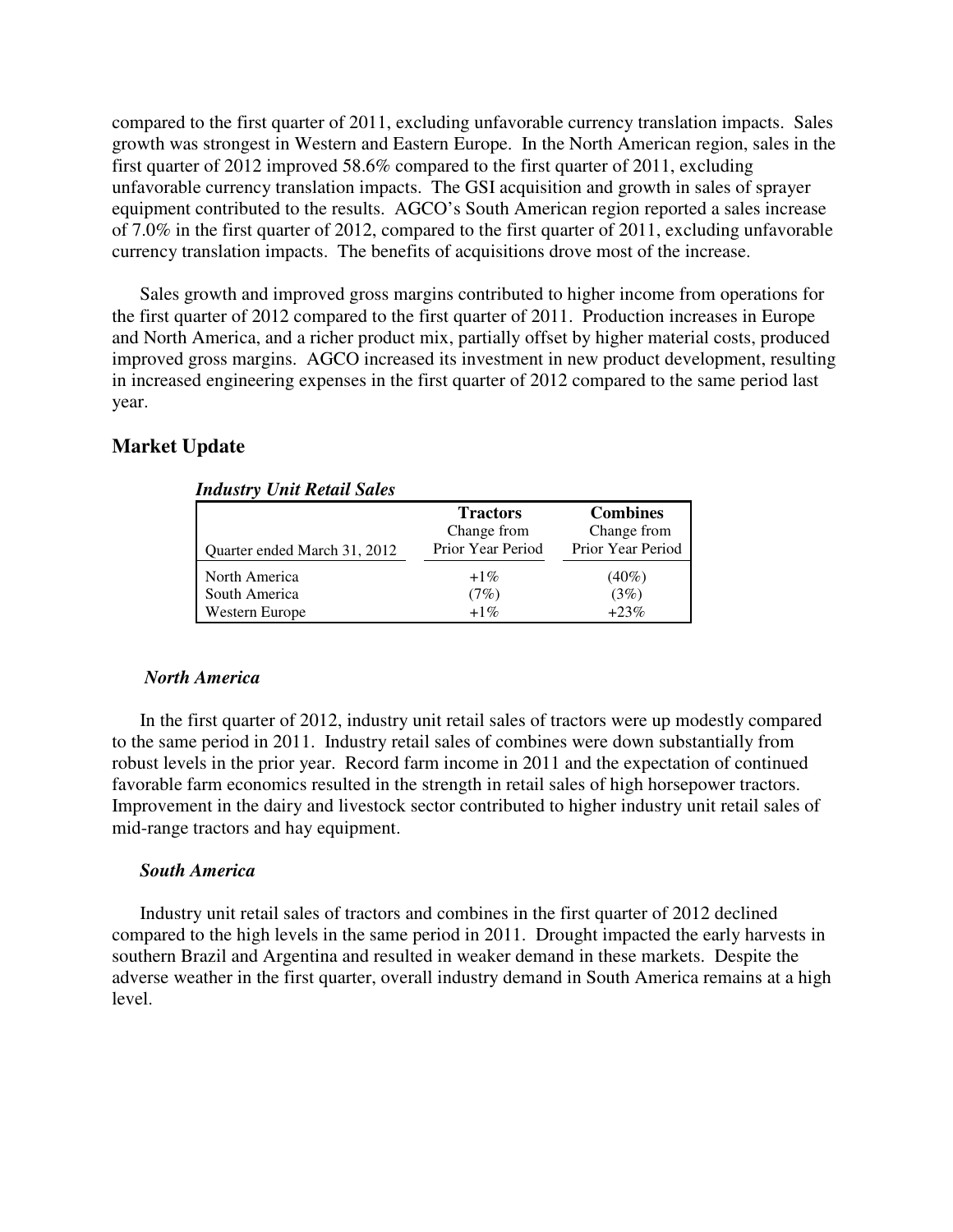compared to the first quarter of 2011, excluding unfavorable currency translation impacts. Sales growth was strongest in Western and Eastern Europe. In the North American region, sales in the first quarter of 2012 improved 58.6% compared to the first quarter of 2011, excluding unfavorable currency translation impacts. The GSI acquisition and growth in sales of sprayer equipment contributed to the results. AGCO's South American region reported a sales increase of 7.0% in the first quarter of 2012, compared to the first quarter of 2011, excluding unfavorable currency translation impacts. The benefits of acquisitions drove most of the increase.

Sales growth and improved gross margins contributed to higher income from operations for the first quarter of 2012 compared to the first quarter of 2011. Production increases in Europe and North America, and a richer product mix, partially offset by higher material costs, produced improved gross margins. AGCO increased its investment in new product development, resulting in increased engineering expenses in the first quarter of 2012 compared to the same period last year.

# **Market Update**

|                              | <b>Tractors</b><br>Change from | <b>Combines</b><br>Change from |
|------------------------------|--------------------------------|--------------------------------|
| Quarter ended March 31, 2012 | Prior Year Period              | Prior Year Period              |
| North America                | $+1\%$                         | $(40\%)$                       |
| South America                | (7%)                           | (3%)                           |
| Western Europe               | $+1\%$                         | $+23%$                         |

# *Industry Unit Retail Sales*

#### *North America*

In the first quarter of 2012, industry unit retail sales of tractors were up modestly compared to the same period in 2011. Industry retail sales of combines were down substantially from robust levels in the prior year. Record farm income in 2011 and the expectation of continued favorable farm economics resulted in the strength in retail sales of high horsepower tractors. Improvement in the dairy and livestock sector contributed to higher industry unit retail sales of mid-range tractors and hay equipment.

### *South America*

Industry unit retail sales of tractors and combines in the first quarter of 2012 declined compared to the high levels in the same period in 2011. Drought impacted the early harvests in southern Brazil and Argentina and resulted in weaker demand in these markets. Despite the adverse weather in the first quarter, overall industry demand in South America remains at a high level.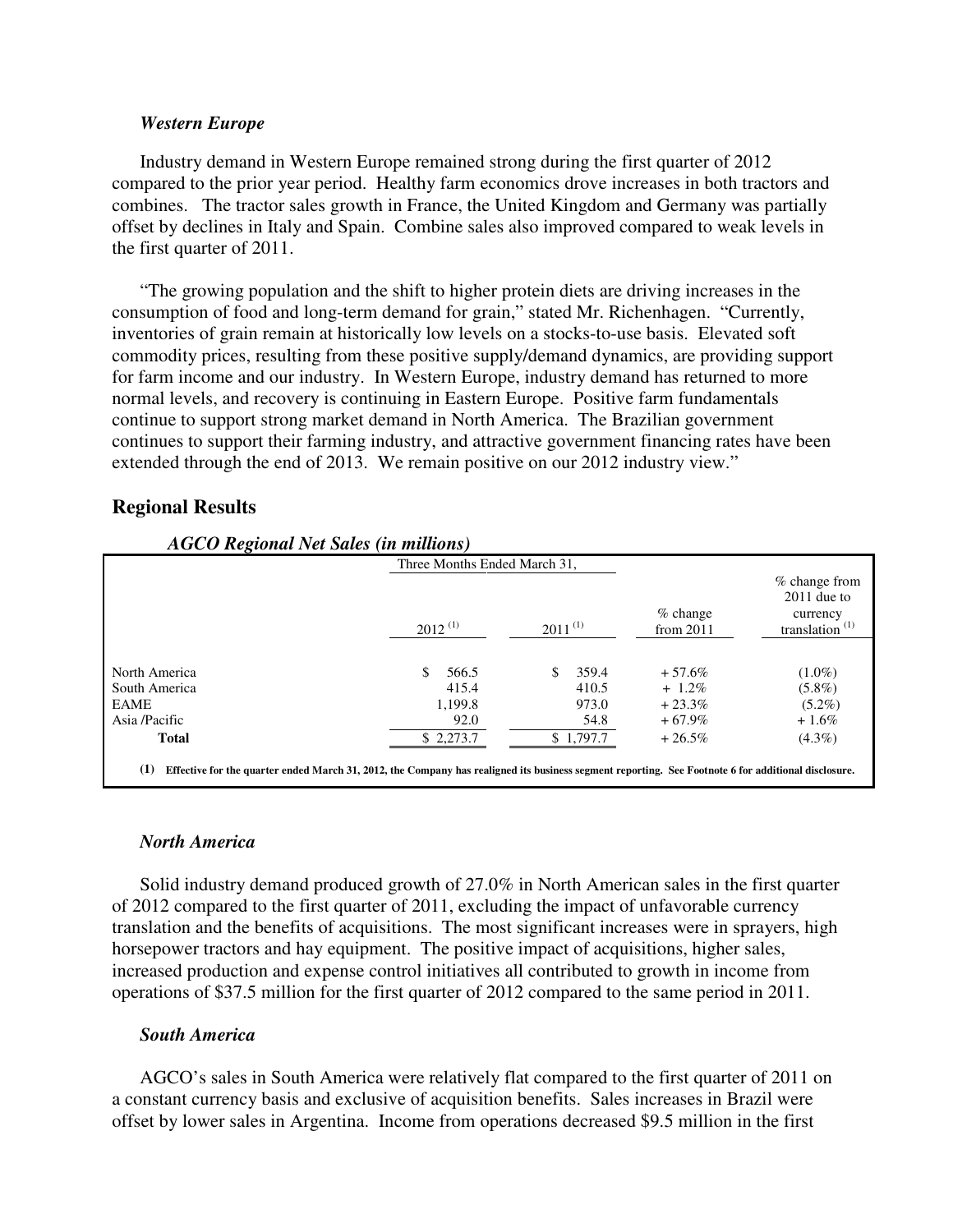### *Western Europe*

Industry demand in Western Europe remained strong during the first quarter of 2012 compared to the prior year period. Healthy farm economics drove increases in both tractors and combines. The tractor sales growth in France, the United Kingdom and Germany was partially offset by declines in Italy and Spain. Combine sales also improved compared to weak levels in the first quarter of 2011.

"The growing population and the shift to higher protein diets are driving increases in the consumption of food and long-term demand for grain," stated Mr. Richenhagen. "Currently, inventories of grain remain at historically low levels on a stocks-to-use basis. Elevated soft commodity prices, resulting from these positive supply/demand dynamics, are providing support for farm income and our industry. In Western Europe, industry demand has returned to more normal levels, and recovery is continuing in Eastern Europe. Positive farm fundamentals continue to support strong market demand in North America. The Brazilian government continues to support their farming industry, and attractive government financing rates have been extended through the end of 2013. We remain positive on our 2012 industry view."

## **Regional Results**

|               | Three Months Ended March 31, |              |                           |                                                                   |
|---------------|------------------------------|--------------|---------------------------|-------------------------------------------------------------------|
|               | $2012^{(1)}$                 | $2011^{(1)}$ | $%$ change<br>from $2011$ | $%$ change from<br>$2011$ due to<br>currency<br>translation $(1)$ |
|               |                              |              |                           |                                                                   |
| North America | \$<br>566.5                  | 359.4<br>\$. | $+57.6%$                  | $(1.0\%)$                                                         |
| South America | 415.4                        | 410.5        | $+1.2\%$                  | $(5.8\%)$                                                         |
| <b>EAME</b>   | 1.199.8                      | 973.0        | $+23.3%$                  | $(5.2\%)$                                                         |
| Asia /Pacific | 92.0                         | 54.8         | $+67.9\%$                 | $+1.6\%$                                                          |
| <b>Total</b>  | \$2,273.7                    | \$1,797.7    | $+26.5%$                  | $(4.3\%)$                                                         |

 *AGCO Regional Net Sales (in millions)*

### *North America*

Solid industry demand produced growth of 27.0% in North American sales in the first quarter of 2012 compared to the first quarter of 2011, excluding the impact of unfavorable currency translation and the benefits of acquisitions. The most significant increases were in sprayers, high horsepower tractors and hay equipment. The positive impact of acquisitions, higher sales, increased production and expense control initiatives all contributed to growth in income from operations of \$37.5 million for the first quarter of 2012 compared to the same period in 2011.

### *South America*

AGCO's sales in South America were relatively flat compared to the first quarter of 2011 on a constant currency basis and exclusive of acquisition benefits. Sales increases in Brazil were offset by lower sales in Argentina. Income from operations decreased \$9.5 million in the first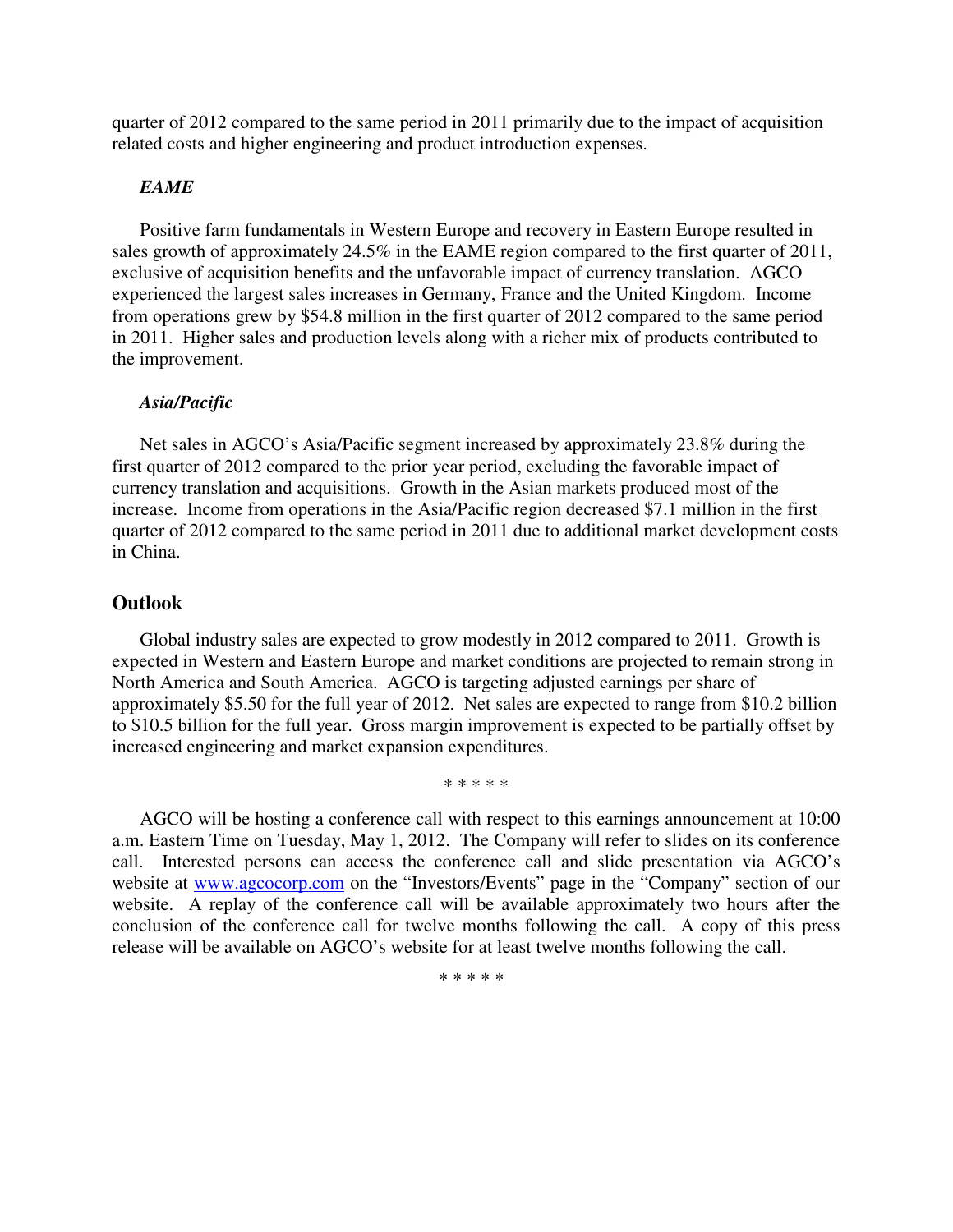quarter of 2012 compared to the same period in 2011 primarily due to the impact of acquisition related costs and higher engineering and product introduction expenses.

### *EAME*

Positive farm fundamentals in Western Europe and recovery in Eastern Europe resulted in sales growth of approximately 24.5% in the EAME region compared to the first quarter of 2011, exclusive of acquisition benefits and the unfavorable impact of currency translation. AGCO experienced the largest sales increases in Germany, France and the United Kingdom. Income from operations grew by \$54.8 million in the first quarter of 2012 compared to the same period in 2011. Higher sales and production levels along with a richer mix of products contributed to the improvement.

### *Asia/Pacific*

Net sales in AGCO's Asia/Pacific segment increased by approximately 23.8% during the first quarter of 2012 compared to the prior year period, excluding the favorable impact of currency translation and acquisitions. Growth in the Asian markets produced most of the increase. Income from operations in the Asia/Pacific region decreased \$7.1 million in the first quarter of 2012 compared to the same period in 2011 due to additional market development costs in China.

## **Outlook**

Global industry sales are expected to grow modestly in 2012 compared to 2011. Growth is expected in Western and Eastern Europe and market conditions are projected to remain strong in North America and South America. AGCO is targeting adjusted earnings per share of approximately \$5.50 for the full year of 2012. Net sales are expected to range from \$10.2 billion to \$10.5 billion for the full year. Gross margin improvement is expected to be partially offset by increased engineering and market expansion expenditures.

\* \* \* \* \*

AGCO will be hosting a conference call with respect to this earnings announcement at 10:00 a.m. Eastern Time on Tuesday, May 1, 2012. The Company will refer to slides on its conference call. Interested persons can access the conference call and slide presentation via AGCO's website at www.agcocorp.com on the "Investors/Events" page in the "Company" section of our website. A replay of the conference call will be available approximately two hours after the conclusion of the conference call for twelve months following the call. A copy of this press release will be available on AGCO's website for at least twelve months following the call.

\* \* \* \* \*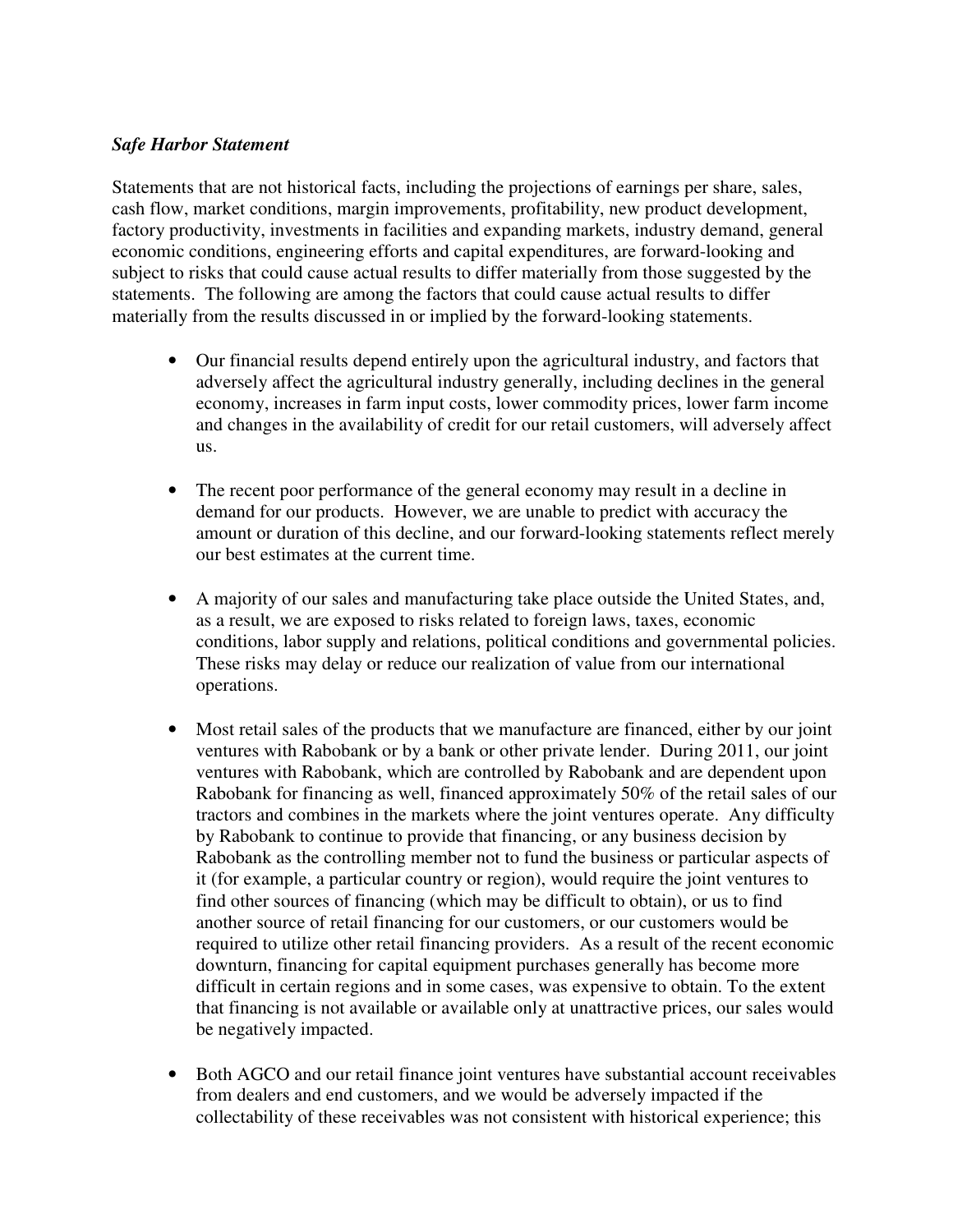# *Safe Harbor Statement*

Statements that are not historical facts, including the projections of earnings per share, sales, cash flow, market conditions, margin improvements, profitability, new product development, factory productivity, investments in facilities and expanding markets, industry demand, general economic conditions, engineering efforts and capital expenditures, are forward-looking and subject to risks that could cause actual results to differ materially from those suggested by the statements. The following are among the factors that could cause actual results to differ materially from the results discussed in or implied by the forward-looking statements.

- Our financial results depend entirely upon the agricultural industry, and factors that adversely affect the agricultural industry generally, including declines in the general economy, increases in farm input costs, lower commodity prices, lower farm income and changes in the availability of credit for our retail customers, will adversely affect us.
- The recent poor performance of the general economy may result in a decline in demand for our products. However, we are unable to predict with accuracy the amount or duration of this decline, and our forward-looking statements reflect merely our best estimates at the current time.
- A majority of our sales and manufacturing take place outside the United States, and, as a result, we are exposed to risks related to foreign laws, taxes, economic conditions, labor supply and relations, political conditions and governmental policies. These risks may delay or reduce our realization of value from our international operations.
- Most retail sales of the products that we manufacture are financed, either by our joint ventures with Rabobank or by a bank or other private lender. During 2011, our joint ventures with Rabobank, which are controlled by Rabobank and are dependent upon Rabobank for financing as well, financed approximately 50% of the retail sales of our tractors and combines in the markets where the joint ventures operate. Any difficulty by Rabobank to continue to provide that financing, or any business decision by Rabobank as the controlling member not to fund the business or particular aspects of it (for example, a particular country or region), would require the joint ventures to find other sources of financing (which may be difficult to obtain), or us to find another source of retail financing for our customers, or our customers would be required to utilize other retail financing providers. As a result of the recent economic downturn, financing for capital equipment purchases generally has become more difficult in certain regions and in some cases, was expensive to obtain. To the extent that financing is not available or available only at unattractive prices, our sales would be negatively impacted.
- Both AGCO and our retail finance joint ventures have substantial account receivables from dealers and end customers, and we would be adversely impacted if the collectability of these receivables was not consistent with historical experience; this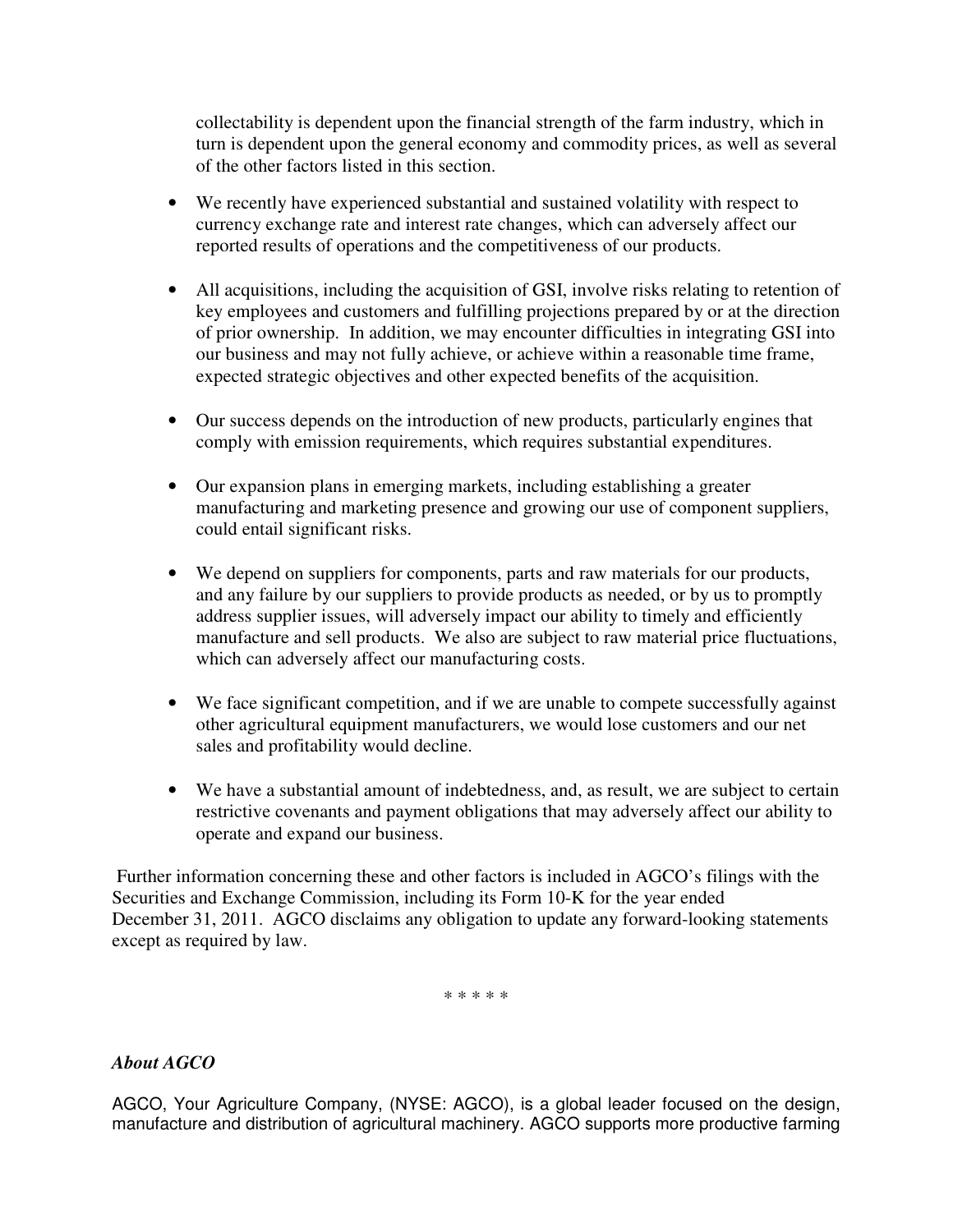collectability is dependent upon the financial strength of the farm industry, which in turn is dependent upon the general economy and commodity prices, as well as several of the other factors listed in this section.

- We recently have experienced substantial and sustained volatility with respect to currency exchange rate and interest rate changes, which can adversely affect our reported results of operations and the competitiveness of our products.
- All acquisitions, including the acquisition of GSI, involve risks relating to retention of key employees and customers and fulfilling projections prepared by or at the direction of prior ownership. In addition, we may encounter difficulties in integrating GSI into our business and may not fully achieve, or achieve within a reasonable time frame, expected strategic objectives and other expected benefits of the acquisition.
- Our success depends on the introduction of new products, particularly engines that comply with emission requirements, which requires substantial expenditures.
- Our expansion plans in emerging markets, including establishing a greater manufacturing and marketing presence and growing our use of component suppliers, could entail significant risks.
- We depend on suppliers for components, parts and raw materials for our products, and any failure by our suppliers to provide products as needed, or by us to promptly address supplier issues, will adversely impact our ability to timely and efficiently manufacture and sell products. We also are subject to raw material price fluctuations, which can adversely affect our manufacturing costs.
- We face significant competition, and if we are unable to compete successfully against other agricultural equipment manufacturers, we would lose customers and our net sales and profitability would decline.
- We have a substantial amount of indebtedness, and, as result, we are subject to certain restrictive covenants and payment obligations that may adversely affect our ability to operate and expand our business.

 Further information concerning these and other factors is included in AGCO's filings with the Securities and Exchange Commission, including its Form 10-K for the year ended December 31, 2011. AGCO disclaims any obligation to update any forward-looking statements except as required by law.

\* \* \* \* \*

# *About AGCO*

AGCO, Your Agriculture Company, (NYSE: AGCO), is a global leader focused on the design, manufacture and distribution of agricultural machinery. AGCO supports more productive farming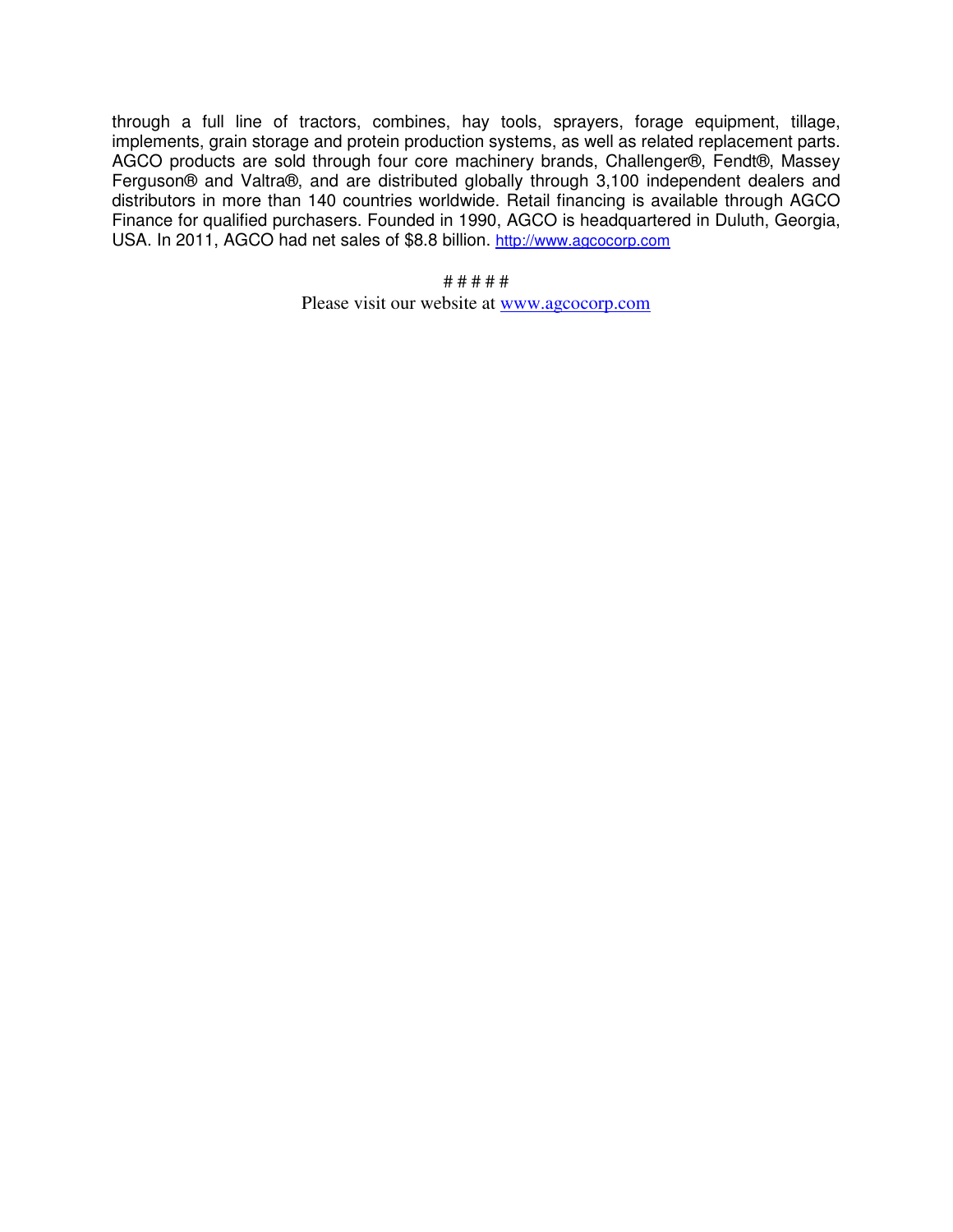through a full line of tractors, combines, hay tools, sprayers, forage equipment, tillage, implements, grain storage and protein production systems, as well as related replacement parts. AGCO products are sold through four core machinery brands, Challenger®, Fendt®, Massey Ferguson® and Valtra®, and are distributed globally through 3,100 independent dealers and distributors in more than 140 countries worldwide. Retail financing is available through AGCO Finance for qualified purchasers. Founded in 1990, AGCO is headquartered in Duluth, Georgia, USA. In 2011, AGCO had net sales of \$8.8 billion. http://www.agcocorp.com

> # # # # # Please visit our website at www.agcocorp.com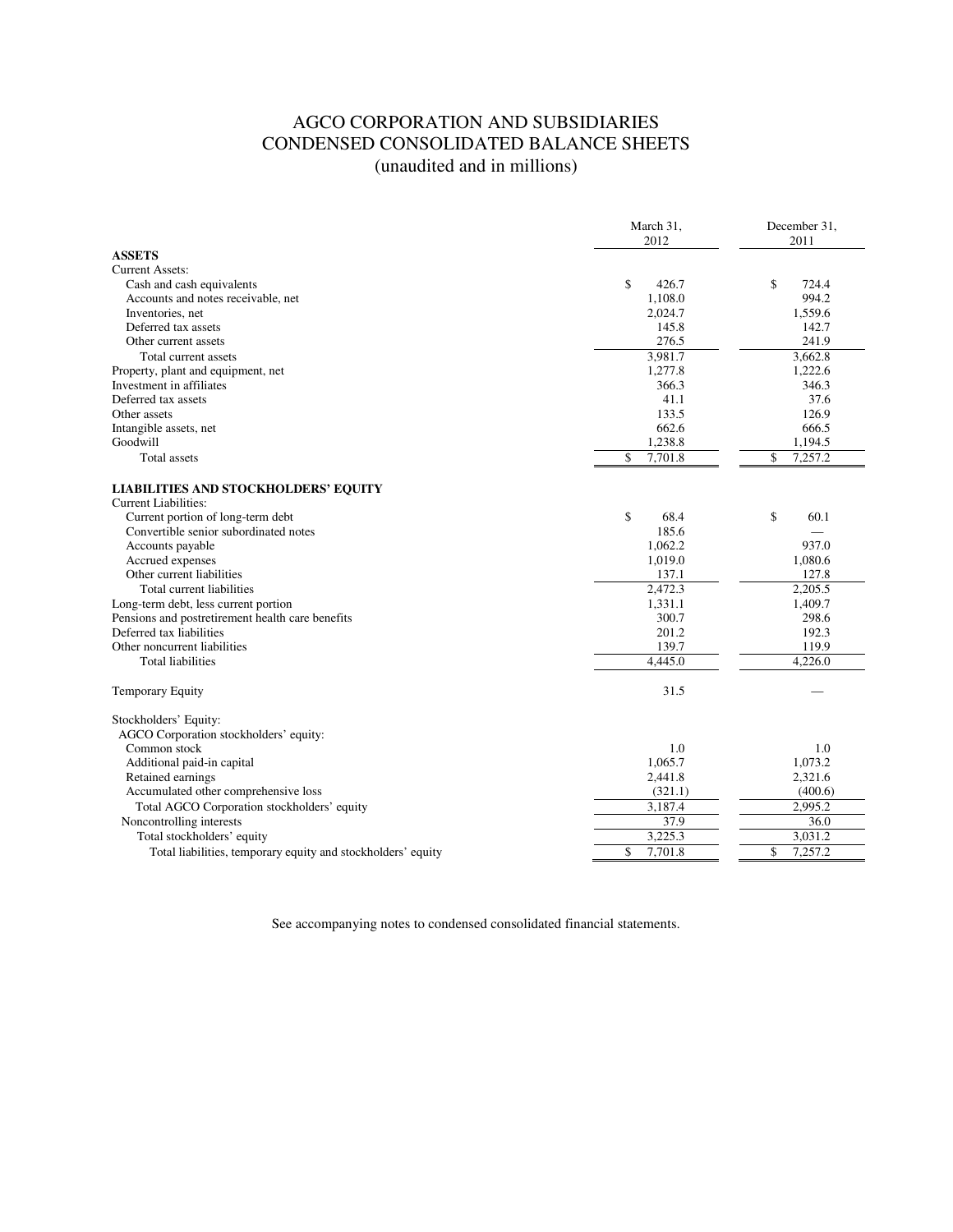# AGCO CORPORATION AND SUBSIDIARIES CONDENSED CONSOLIDATED BALANCE SHEETS (unaudited and in millions)

|                                                                            | March 31,<br>2012 | December 31,<br>2011 |  |
|----------------------------------------------------------------------------|-------------------|----------------------|--|
| <b>ASSETS</b>                                                              |                   |                      |  |
| <b>Current Assets:</b>                                                     |                   |                      |  |
| Cash and cash equivalents                                                  | \$<br>426.7       | \$<br>724.4          |  |
| Accounts and notes receivable, net                                         | 1,108.0           | 994.2                |  |
| Inventories, net                                                           | 2,024.7           | 1.559.6              |  |
| Deferred tax assets                                                        | 145.8             | 142.7                |  |
| Other current assets                                                       | 276.5             | 241.9                |  |
| Total current assets                                                       | 3,981.7           | 3,662.8              |  |
| Property, plant and equipment, net                                         | 1,277.8           | 1,222.6              |  |
| Investment in affiliates                                                   | 366.3             | 346.3                |  |
| Deferred tax assets                                                        | 41.1              | 37.6                 |  |
| Other assets                                                               | 133.5             | 126.9                |  |
| Intangible assets, net                                                     | 662.6             | 666.5                |  |
| Goodwill                                                                   | 1,238.8           | 1,194.5              |  |
| Total assets                                                               | 7,701.8<br>\$     | 7,257.2<br>\$        |  |
| <b>LIABILITIES AND STOCKHOLDERS' EQUITY</b><br><b>Current Liabilities:</b> |                   |                      |  |
| Current portion of long-term debt                                          | \$<br>68.4        | \$<br>60.1           |  |
| Convertible senior subordinated notes                                      | 185.6             |                      |  |
| Accounts payable                                                           | 1,062.2           | 937.0                |  |
| Accrued expenses                                                           | 1,019.0           | 1,080.6              |  |
| Other current liabilities                                                  | 137.1             | 127.8                |  |
| Total current liabilities                                                  | 2,472.3           | 2,205.5              |  |
| Long-term debt, less current portion                                       | 1,331.1           | 1,409.7              |  |
| Pensions and postretirement health care benefits                           | 300.7             | 298.6                |  |
| Deferred tax liabilities                                                   | 201.2             | 192.3                |  |
| Other noncurrent liabilities                                               | 139.7             | 119.9                |  |
| <b>Total liabilities</b>                                                   | 4,445.0           | 4,226.0              |  |
| <b>Temporary Equity</b>                                                    | 31.5              |                      |  |
| Stockholders' Equity:                                                      |                   |                      |  |
| AGCO Corporation stockholders' equity:                                     |                   |                      |  |
| Common stock                                                               | 1.0               | 1.0                  |  |
| Additional paid-in capital                                                 | 1,065.7           | 1,073.2              |  |
| Retained earnings                                                          | 2,441.8           | 2,321.6              |  |
| Accumulated other comprehensive loss                                       | (321.1)           | (400.6)              |  |
| Total AGCO Corporation stockholders' equity                                | 3,187.4           | 2,995.2              |  |
| Noncontrolling interests                                                   | 37.9              | 36.0                 |  |
| Total stockholders' equity                                                 | 3,225.3           | 3,031.2              |  |
| Total liabilities, temporary equity and stockholders' equity               | \$<br>7,701.8     | \$<br>7,257.2        |  |

See accompanying notes to condensed consolidated financial statements.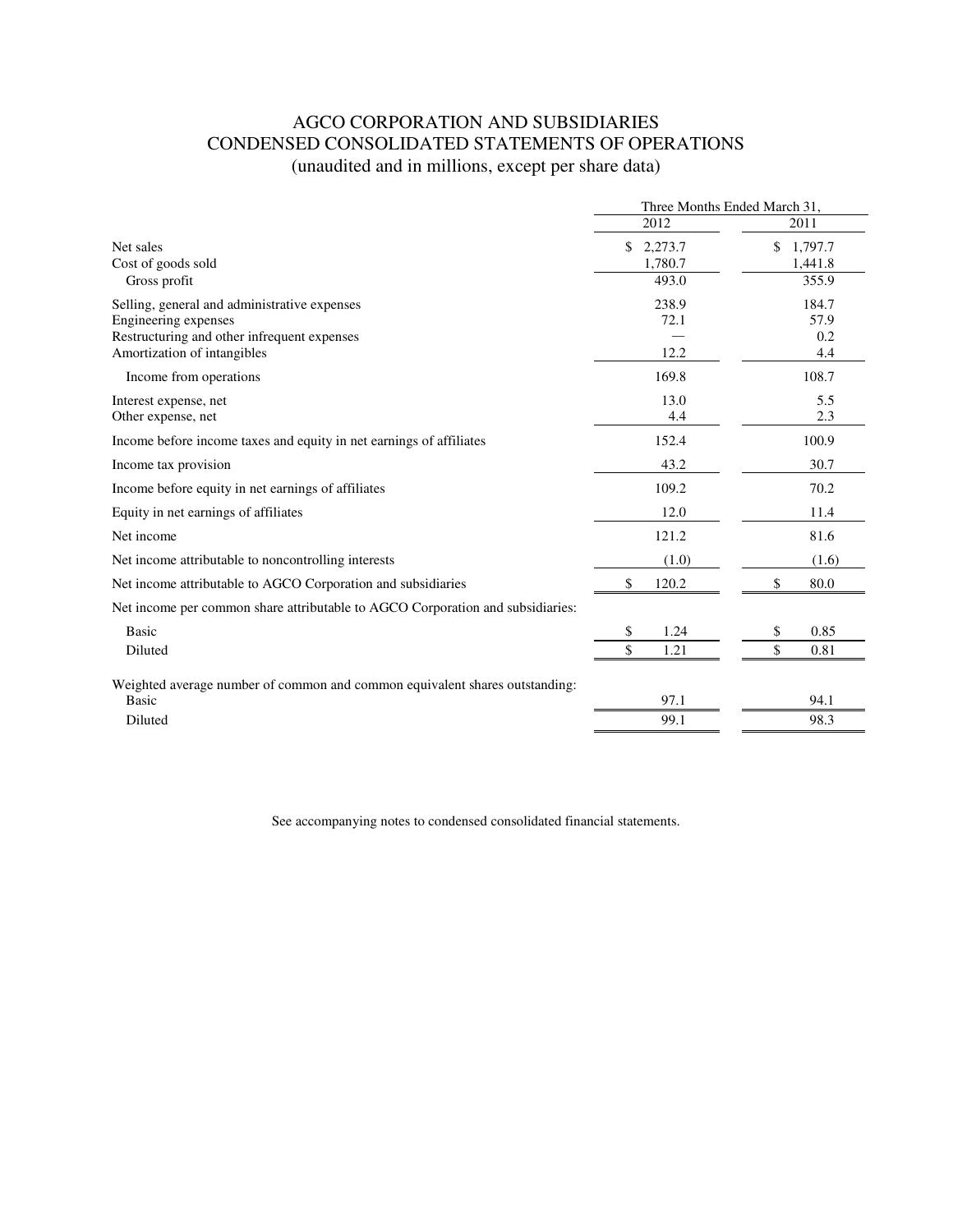# AGCO CORPORATION AND SUBSIDIARIES CONDENSED CONSOLIDATED STATEMENTS OF OPERATIONS (unaudited and in millions, except per share data)

|                                                                                | Three Months Ended March 31, |               |  |
|--------------------------------------------------------------------------------|------------------------------|---------------|--|
|                                                                                | 2012                         | 2011          |  |
| Net sales                                                                      | \$<br>2,273.7                | \$<br>1,797.7 |  |
| Cost of goods sold                                                             | 1,780.7                      | 1,441.8       |  |
| Gross profit                                                                   | 493.0                        | 355.9         |  |
| Selling, general and administrative expenses                                   | 238.9                        | 184.7         |  |
| Engineering expenses                                                           | 72.1                         | 57.9          |  |
| Restructuring and other infrequent expenses                                    |                              | 0.2           |  |
| Amortization of intangibles                                                    | 12.2                         | 4.4           |  |
| Income from operations                                                         | 169.8                        | 108.7         |  |
| Interest expense, net                                                          | 13.0                         | 5.5           |  |
| Other expense, net                                                             | 4.4                          | 2.3           |  |
| Income before income taxes and equity in net earnings of affiliates            | 152.4                        | 100.9         |  |
| Income tax provision                                                           | 43.2                         | 30.7          |  |
| Income before equity in net earnings of affiliates                             | 109.2                        | 70.2          |  |
| Equity in net earnings of affiliates                                           | 12.0                         | 11.4          |  |
| Net income                                                                     | 121.2                        | 81.6          |  |
| Net income attributable to noncontrolling interests                            | (1.0)                        | (1.6)         |  |
| Net income attributable to AGCO Corporation and subsidiaries                   | \$<br>120.2                  | \$<br>80.0    |  |
| Net income per common share attributable to AGCO Corporation and subsidiaries: |                              |               |  |
| <b>Basic</b>                                                                   | 1.24<br>S                    | 0.85<br>\$    |  |
| Diluted                                                                        | $\mathbf{\hat{S}}$<br>1.21   | \$<br>0.81    |  |
| Weighted average number of common and common equivalent shares outstanding:    |                              |               |  |
| Basic                                                                          | 97.1                         | 94.1          |  |
| Diluted                                                                        | 99.1                         | 98.3          |  |
|                                                                                |                              |               |  |

See accompanying notes to condensed consolidated financial statements.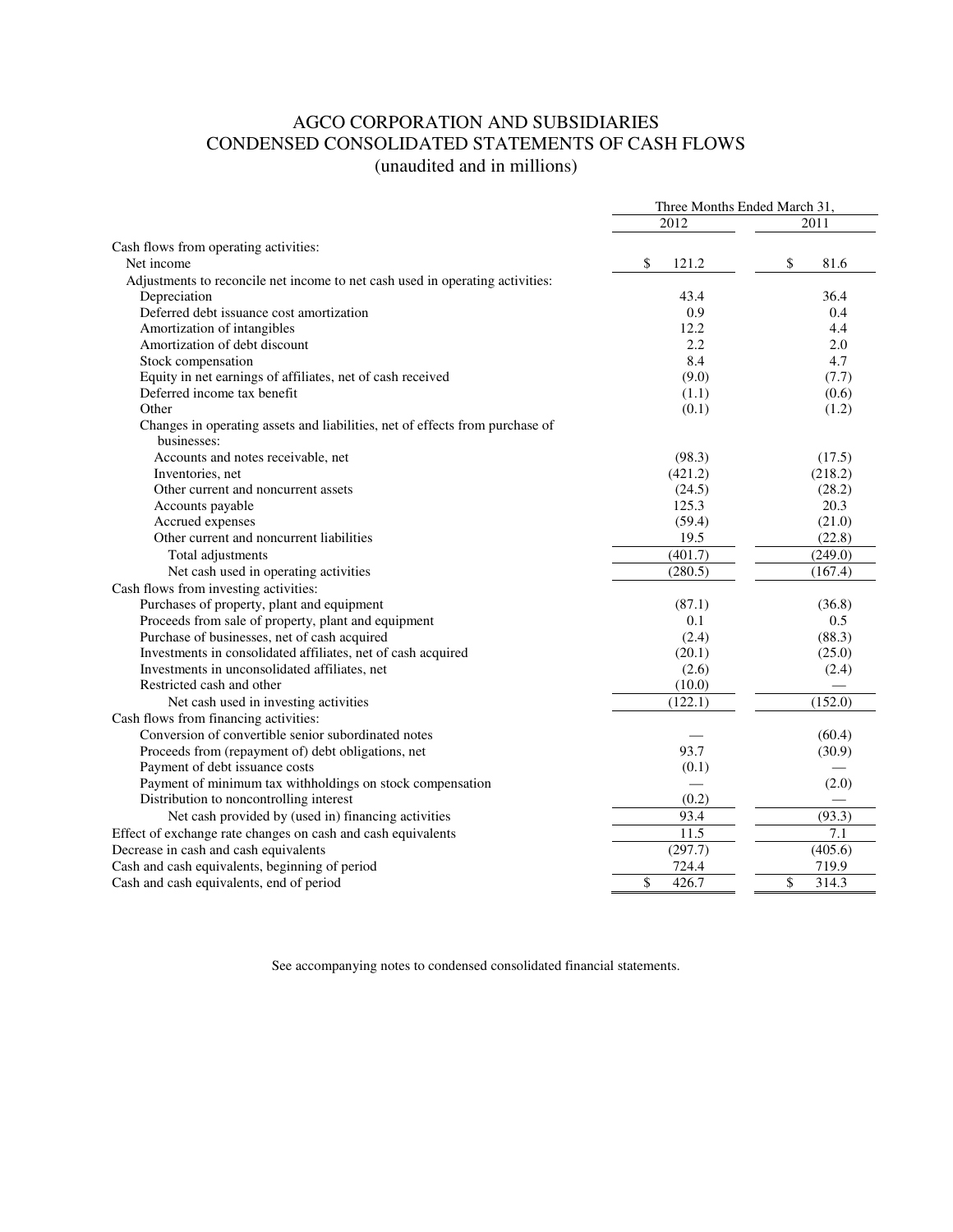# AGCO CORPORATION AND SUBSIDIARIES CONDENSED CONSOLIDATED STATEMENTS OF CASH FLOWS (unaudited and in millions)

|                                                                                             | Three Months Ended March 31, |                  |  |
|---------------------------------------------------------------------------------------------|------------------------------|------------------|--|
|                                                                                             | 2012                         | 2011             |  |
| Cash flows from operating activities:                                                       |                              |                  |  |
| Net income                                                                                  | \$<br>121.2                  | \$<br>81.6       |  |
| Adjustments to reconcile net income to net cash used in operating activities:               |                              |                  |  |
| Depreciation                                                                                | 43.4                         | 36.4             |  |
| Deferred debt issuance cost amortization                                                    | 0.9                          | 0.4              |  |
| Amortization of intangibles                                                                 | 12.2                         | 4.4              |  |
| Amortization of debt discount                                                               | 2.2                          | 2.0              |  |
| Stock compensation                                                                          | 8.4                          | 4.7              |  |
| Equity in net earnings of affiliates, net of cash received                                  | (9.0)                        | (7.7)            |  |
| Deferred income tax benefit                                                                 | (1.1)                        | (0.6)            |  |
| Other                                                                                       | (0.1)                        | (1.2)            |  |
| Changes in operating assets and liabilities, net of effects from purchase of<br>businesses: |                              |                  |  |
| Accounts and notes receivable, net                                                          | (98.3)                       | (17.5)           |  |
| Inventories, net                                                                            | (421.2)                      | (218.2)          |  |
| Other current and noncurrent assets                                                         | (24.5)                       | (28.2)           |  |
| Accounts payable                                                                            | 125.3                        | 20.3             |  |
| Accrued expenses                                                                            | (59.4)                       | (21.0)           |  |
| Other current and noncurrent liabilities                                                    | 19.5                         | (22.8)           |  |
|                                                                                             | (401.7)                      | (249.0)          |  |
| Total adjustments                                                                           | (280.5)                      | (167.4)          |  |
| Net cash used in operating activities                                                       |                              |                  |  |
| Cash flows from investing activities:                                                       |                              |                  |  |
| Purchases of property, plant and equipment                                                  | (87.1)                       | (36.8)           |  |
| Proceeds from sale of property, plant and equipment                                         | 0.1                          | 0.5              |  |
| Purchase of businesses, net of cash acquired                                                | (2.4)                        | (88.3)           |  |
| Investments in consolidated affiliates, net of cash acquired                                | (20.1)                       | (25.0)           |  |
| Investments in unconsolidated affiliates, net<br>Restricted cash and other                  | (2.6)                        | (2.4)            |  |
|                                                                                             | (10.0)                       |                  |  |
| Net cash used in investing activities                                                       | (122.1)                      | (152.0)          |  |
| Cash flows from financing activities:                                                       |                              |                  |  |
| Conversion of convertible senior subordinated notes                                         |                              | (60.4)           |  |
| Proceeds from (repayment of) debt obligations, net                                          | 93.7                         | (30.9)           |  |
| Payment of debt issuance costs                                                              | (0.1)                        |                  |  |
| Payment of minimum tax withholdings on stock compensation                                   | (0.2)                        | (2.0)            |  |
| Distribution to noncontrolling interest                                                     |                              |                  |  |
| Net cash provided by (used in) financing activities                                         | 93.4                         | (93.3)           |  |
| Effect of exchange rate changes on cash and cash equivalents                                | 11.5                         | $\overline{7.1}$ |  |
| Decrease in cash and cash equivalents                                                       | (297.7)                      | (405.6)          |  |
| Cash and cash equivalents, beginning of period                                              | 724.4                        | 719.9            |  |
| Cash and cash equivalents, end of period                                                    | \$<br>426.7                  | \$<br>314.3      |  |

See accompanying notes to condensed consolidated financial statements.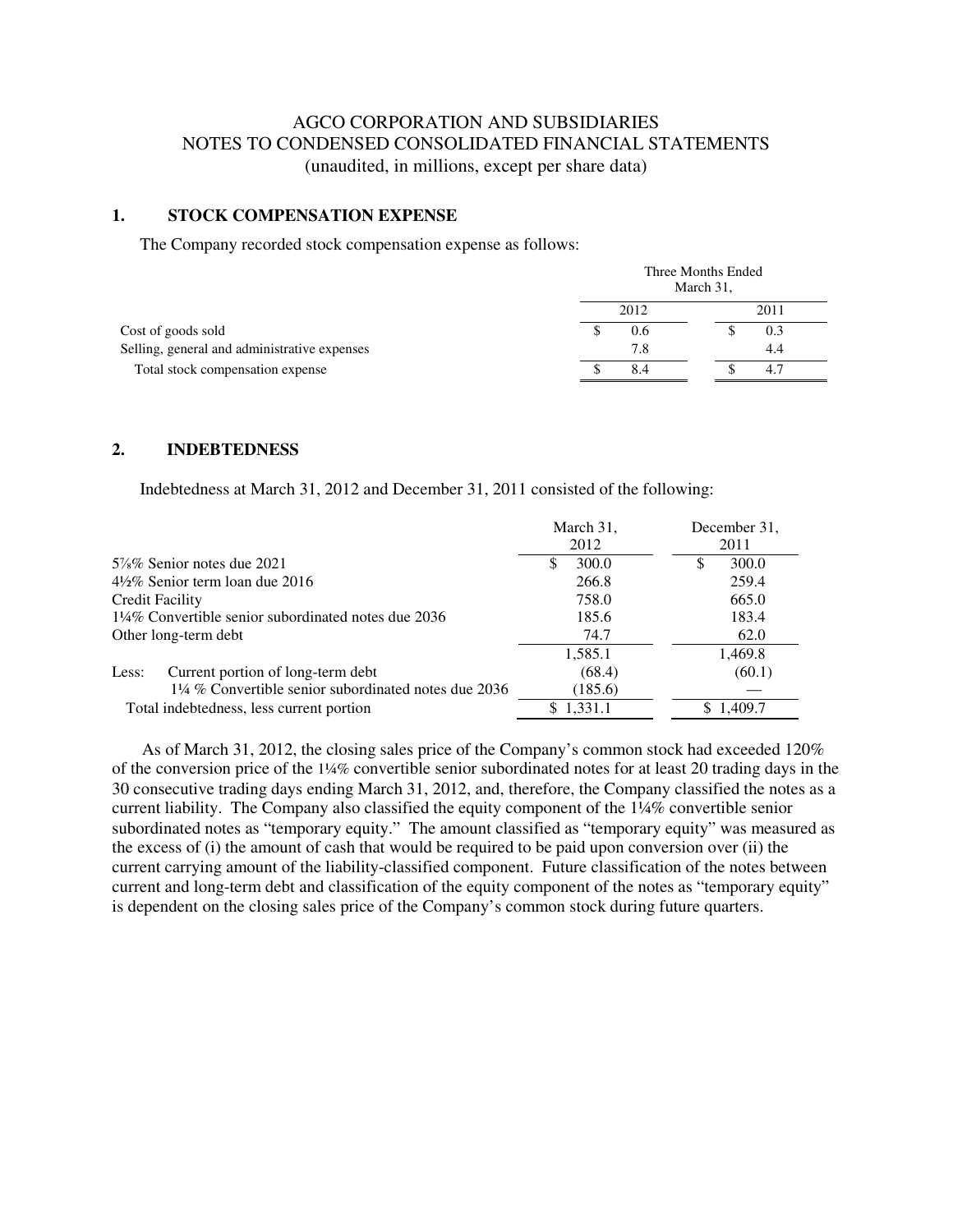# AGCO CORPORATION AND SUBSIDIARIES NOTES TO CONDENSED CONSOLIDATED FINANCIAL STATEMENTS (unaudited, in millions, except per share data)

#### **1. STOCK COMPENSATION EXPENSE**

The Company recorded stock compensation expense as follows:

|                                              | Three Months Ended<br>March 31, |      |  |
|----------------------------------------------|---------------------------------|------|--|
|                                              | 2012                            | 2011 |  |
| Cost of goods sold                           | 0.6<br>S                        | 0.3  |  |
| Selling, general and administrative expenses | 7.8                             | 4.4  |  |
| Total stock compensation expense             | 8.4                             | 4.7  |  |

### **2. INDEBTEDNESS**

Indebtedness at March 31, 2012 and December 31, 2011 consisted of the following:

| March 31,<br>2012                           | December 31,<br>2011 |
|---------------------------------------------|----------------------|
| 300.0<br>$5\%$ % Senior notes due 2021<br>S |                      |
| 266.8                                       | 259.4                |
| 758.0                                       | 665.0                |
| 185.6                                       | 183.4                |
| 74.7                                        | 62.0                 |
| 1,585.1                                     | 1,469.8              |
| (68.4)                                      | (60.1)               |
| (185.6)                                     |                      |
| \$1,331.1                                   | 1.409.7              |
|                                             |                      |

 As of March 31, 2012, the closing sales price of the Company's common stock had exceeded 120% of the conversion price of the 1¼% convertible senior subordinated notes for at least 20 trading days in the 30 consecutive trading days ending March 31, 2012, and, therefore, the Company classified the notes as a current liability. The Company also classified the equity component of the 1¼% convertible senior subordinated notes as "temporary equity." The amount classified as "temporary equity" was measured as the excess of (i) the amount of cash that would be required to be paid upon conversion over (ii) the current carrying amount of the liability-classified component. Future classification of the notes between current and long-term debt and classification of the equity component of the notes as "temporary equity" is dependent on the closing sales price of the Company's common stock during future quarters.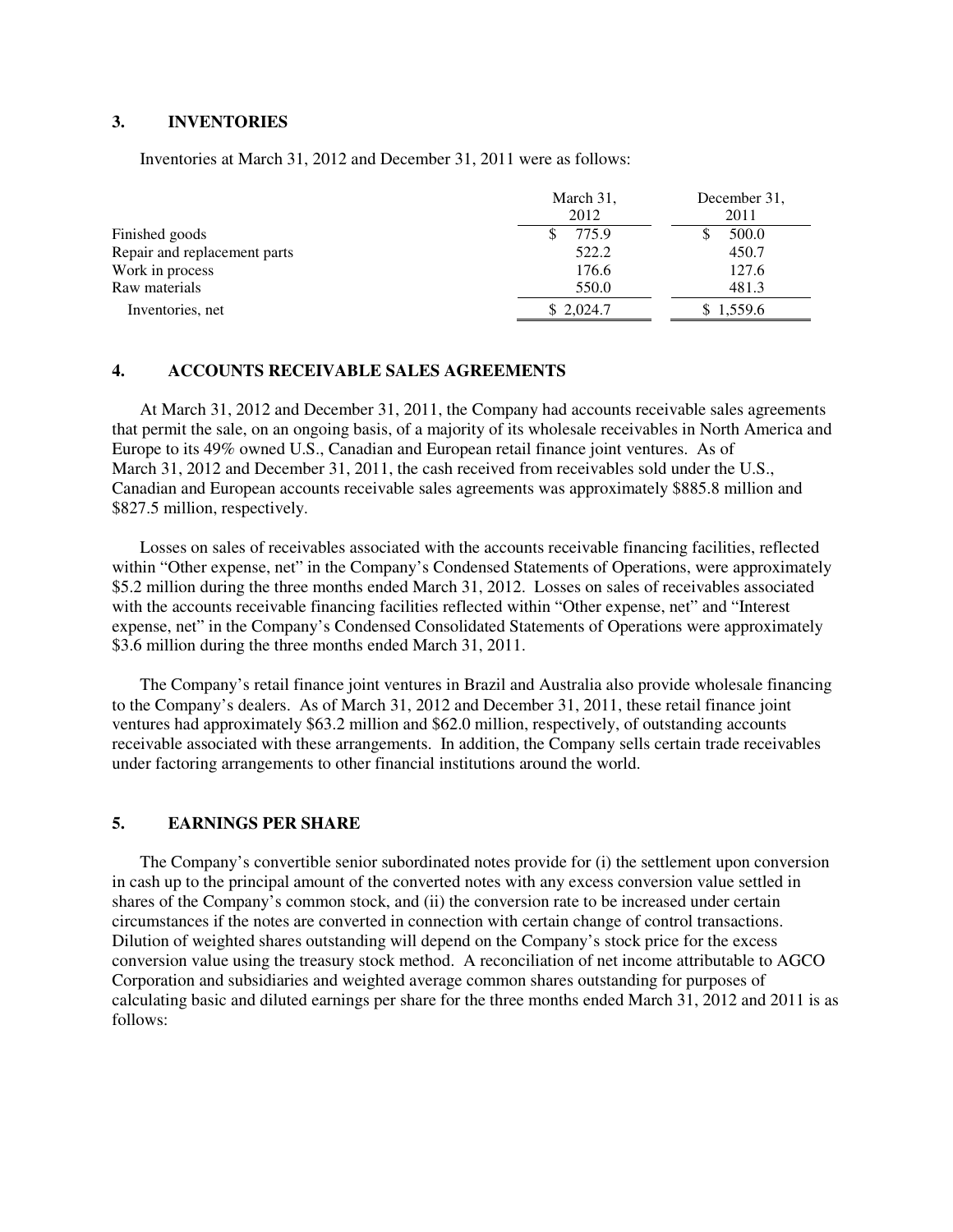#### **3. INVENTORIES**

Inventories at March 31, 2012 and December 31, 2011 were as follows:

|                              | March 31,<br>2012 | December 31.<br>2011 |  |  |
|------------------------------|-------------------|----------------------|--|--|
| Finished goods               | 775.9             | 500.0                |  |  |
| Repair and replacement parts | 522.2             | 450.7                |  |  |
| Work in process              | 176.6             | 127.6                |  |  |
| Raw materials                | 550.0             | 481.3                |  |  |
| Inventories, net             | \$2,024.7         | \$1,559.6            |  |  |

### **4. ACCOUNTS RECEIVABLE SALES AGREEMENTS**

At March 31, 2012 and December 31, 2011, the Company had accounts receivable sales agreements that permit the sale, on an ongoing basis, of a majority of its wholesale receivables in North America and Europe to its 49% owned U.S., Canadian and European retail finance joint ventures. As of March 31, 2012 and December 31, 2011, the cash received from receivables sold under the U.S., Canadian and European accounts receivable sales agreements was approximately \$885.8 million and \$827.5 million, respectively.

Losses on sales of receivables associated with the accounts receivable financing facilities, reflected within "Other expense, net" in the Company's Condensed Statements of Operations, were approximately \$5.2 million during the three months ended March 31, 2012. Losses on sales of receivables associated with the accounts receivable financing facilities reflected within "Other expense, net" and "Interest expense, net" in the Company's Condensed Consolidated Statements of Operations were approximately \$3.6 million during the three months ended March 31, 2011.

The Company's retail finance joint ventures in Brazil and Australia also provide wholesale financing to the Company's dealers. As of March 31, 2012 and December 31, 2011, these retail finance joint ventures had approximately \$63.2 million and \$62.0 million, respectively, of outstanding accounts receivable associated with these arrangements. In addition, the Company sells certain trade receivables under factoring arrangements to other financial institutions around the world.

### **5. EARNINGS PER SHARE**

The Company's convertible senior subordinated notes provide for (i) the settlement upon conversion in cash up to the principal amount of the converted notes with any excess conversion value settled in shares of the Company's common stock, and (ii) the conversion rate to be increased under certain circumstances if the notes are converted in connection with certain change of control transactions. Dilution of weighted shares outstanding will depend on the Company's stock price for the excess conversion value using the treasury stock method. A reconciliation of net income attributable to AGCO Corporation and subsidiaries and weighted average common shares outstanding for purposes of calculating basic and diluted earnings per share for the three months ended March 31, 2012 and 2011 is as follows: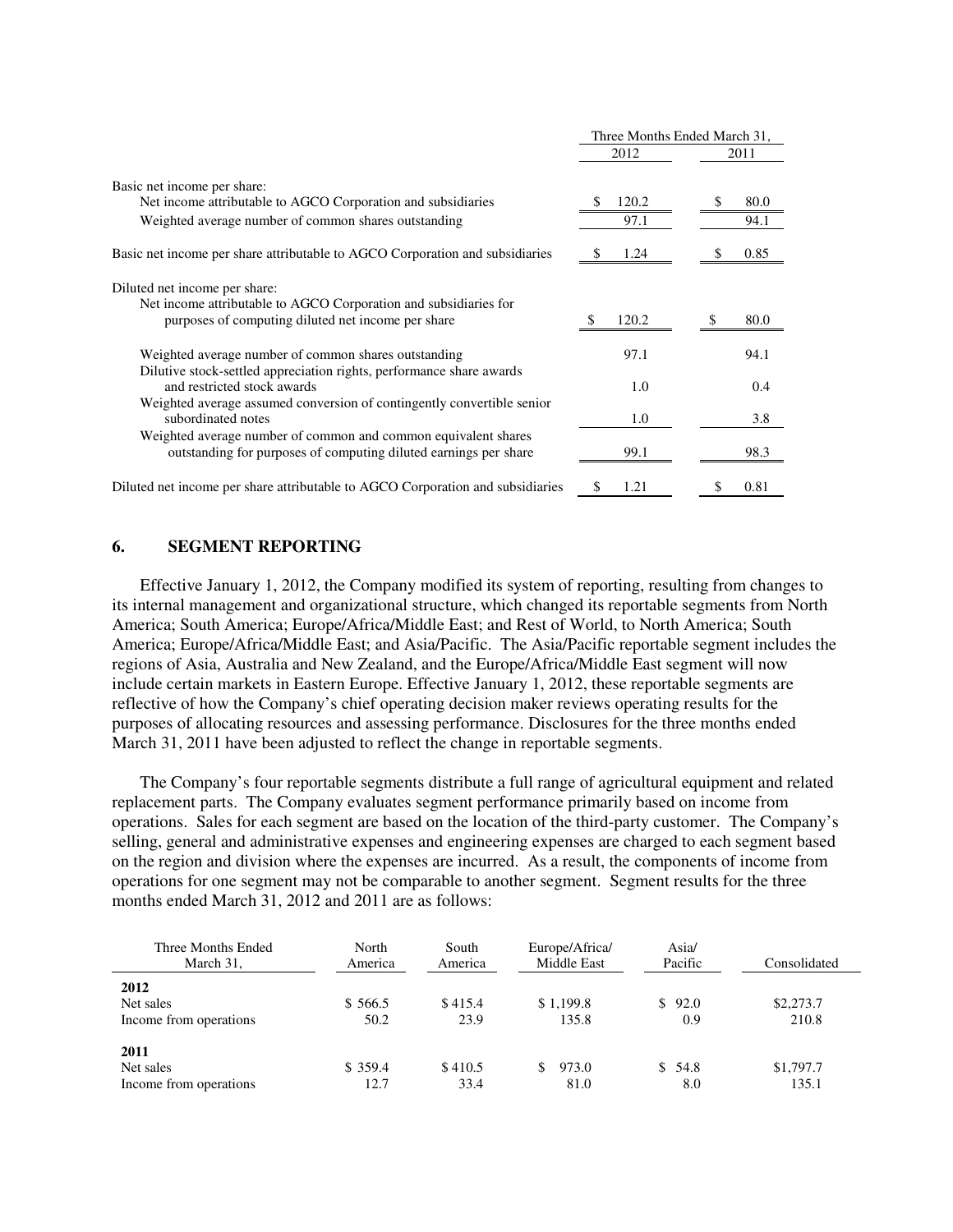|                                                                                                                                    | Three Months Ended March 31, |       |  |  |      |
|------------------------------------------------------------------------------------------------------------------------------------|------------------------------|-------|--|--|------|
|                                                                                                                                    |                              | 2012  |  |  | 2011 |
| Basic net income per share:                                                                                                        |                              |       |  |  |      |
| Net income attributable to AGCO Corporation and subsidiaries                                                                       |                              | 120.2 |  |  | 80.0 |
| Weighted average number of common shares outstanding                                                                               |                              | 97.1  |  |  | 94.1 |
| Basic net income per share attributable to AGCO Corporation and subsidiaries                                                       |                              | 1.24  |  |  | 0.85 |
| Diluted net income per share:<br>Net income attributable to AGCO Corporation and subsidiaries for                                  |                              |       |  |  |      |
| purposes of computing diluted net income per share                                                                                 |                              | 120.2 |  |  | 80.0 |
| Weighted average number of common shares outstanding                                                                               |                              | 97.1  |  |  | 94.1 |
| Dilutive stock-settled appreciation rights, performance share awards<br>and restricted stock awards                                |                              | 1.0   |  |  | 0.4  |
| Weighted average assumed conversion of contingently convertible senior<br>subordinated notes                                       |                              | 1.0   |  |  | 3.8  |
| Weighted average number of common and common equivalent shares<br>outstanding for purposes of computing diluted earnings per share |                              | 99.1  |  |  | 98.3 |
| Diluted net income per share attributable to AGCO Corporation and subsidiaries                                                     | S                            | 1.21  |  |  | 0.81 |

#### **6. SEGMENT REPORTING**

Effective January 1, 2012, the Company modified its system of reporting, resulting from changes to its internal management and organizational structure, which changed its reportable segments from North America; South America; Europe/Africa/Middle East; and Rest of World, to North America; South America; Europe/Africa/Middle East; and Asia/Pacific. The Asia/Pacific reportable segment includes the regions of Asia, Australia and New Zealand, and the Europe/Africa/Middle East segment will now include certain markets in Eastern Europe. Effective January 1, 2012, these reportable segments are reflective of how the Company's chief operating decision maker reviews operating results for the purposes of allocating resources and assessing performance. Disclosures for the three months ended March 31, 2011 have been adjusted to reflect the change in reportable segments.

The Company's four reportable segments distribute a full range of agricultural equipment and related replacement parts. The Company evaluates segment performance primarily based on income from operations. Sales for each segment are based on the location of the third-party customer. The Company's selling, general and administrative expenses and engineering expenses are charged to each segment based on the region and division where the expenses are incurred. As a result, the components of income from operations for one segment may not be comparable to another segment. Segment results for the three months ended March 31, 2012 and 2011 are as follows:

| Three Months Ended<br>March 31,             | North<br>America | South<br>America | Europe/Africa/<br>Middle East | Asia/<br>Pacific | Consolidated       |
|---------------------------------------------|------------------|------------------|-------------------------------|------------------|--------------------|
| 2012<br>Net sales<br>Income from operations | \$566.5<br>50.2  | \$415.4<br>23.9  | \$1.199.8<br>135.8            | \$92.0<br>0.9    | \$2,273.7<br>210.8 |
| 2011<br>Net sales<br>Income from operations | \$359.4<br>12.7  | \$410.5<br>33.4  | 973.0<br>81.0                 | \$54.8<br>8.0    | \$1,797.7<br>135.1 |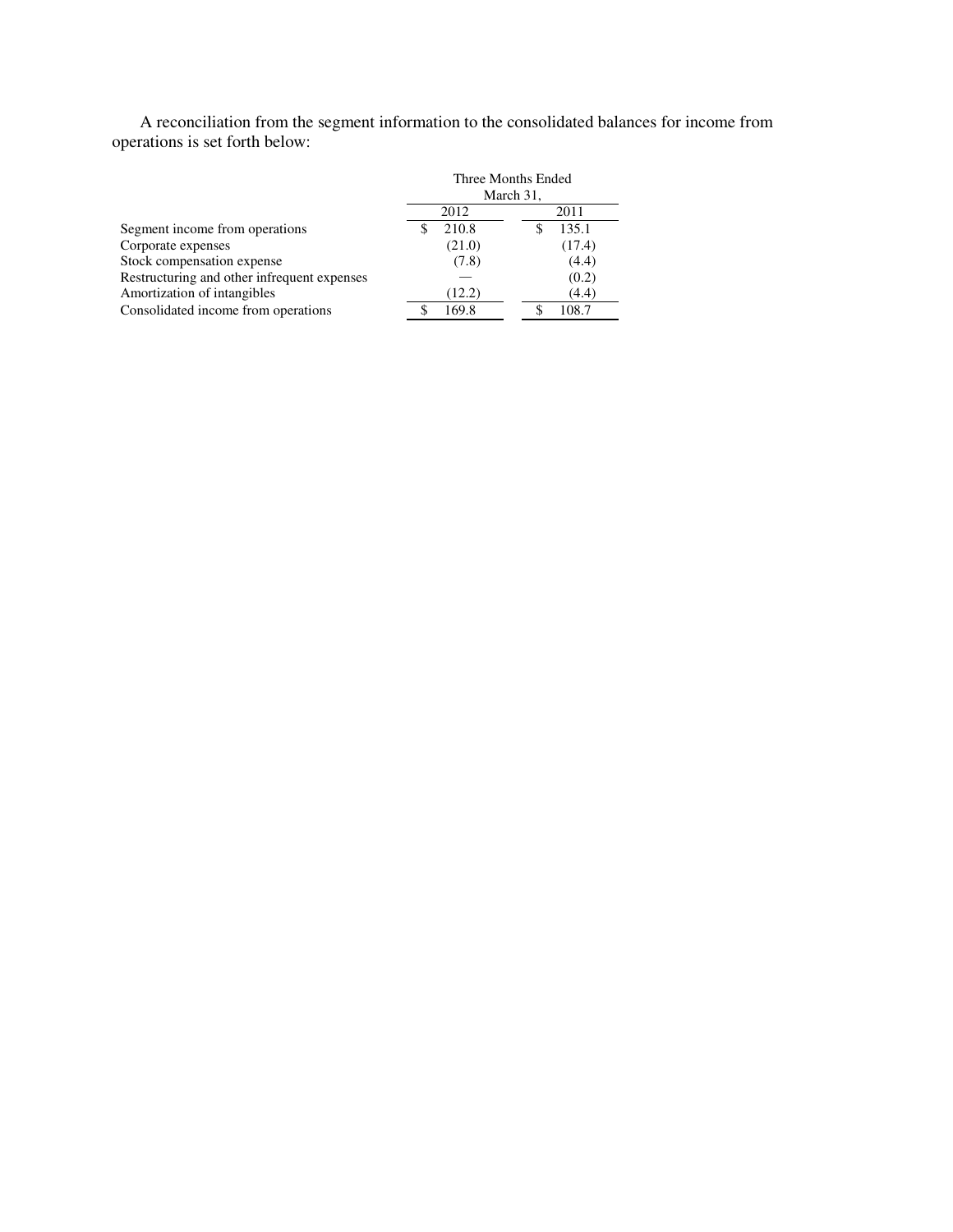A reconciliation from the segment information to the consolidated balances for income from operations is set forth below:

| Three Months Ended<br>March 31, |        |  |  |  |
|---------------------------------|--------|--|--|--|
| 2012                            | 2011   |  |  |  |
| 210.8                           | 135.1  |  |  |  |
| (21.0)                          | (17.4) |  |  |  |
| (7.8)                           | (4.4)  |  |  |  |
|                                 | (0.2)  |  |  |  |
| (12.2)                          | (4.4)  |  |  |  |
| 169.8                           | 108.7  |  |  |  |
|                                 |        |  |  |  |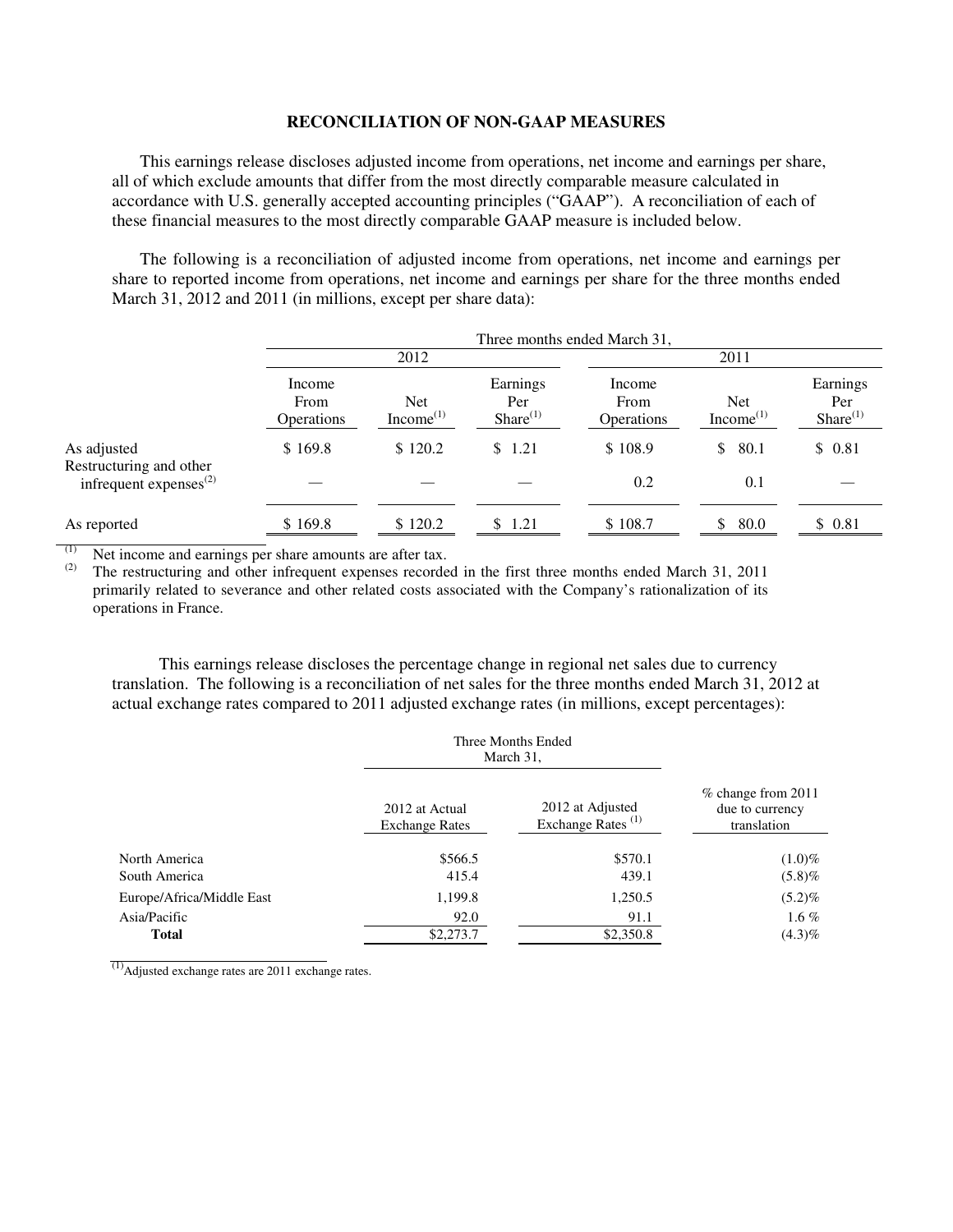#### **RECONCILIATION OF NON-GAAP MEASURES**

This earnings release discloses adjusted income from operations, net income and earnings per share, all of which exclude amounts that differ from the most directly comparable measure calculated in accordance with U.S. generally accepted accounting principles ("GAAP"). A reconciliation of each of these financial measures to the most directly comparable GAAP measure is included below.

The following is a reconciliation of adjusted income from operations, net income and earnings per share to reported income from operations, net income and earnings per share for the three months ended March 31, 2012 and 2011 (in millions, except per share data):

|                                                                        | Three months ended March 31,        |                                     |                                  |                                     |                                     |                                  |
|------------------------------------------------------------------------|-------------------------------------|-------------------------------------|----------------------------------|-------------------------------------|-------------------------------------|----------------------------------|
|                                                                        |                                     | 2012                                |                                  |                                     | 2011                                |                                  |
|                                                                        | Income<br>From<br><b>Operations</b> | <b>Net</b><br>Income <sup>(1)</sup> | Earnings<br>Per<br>$Share^{(1)}$ | Income<br>From<br><b>Operations</b> | <b>Net</b><br>Income <sup>(1)</sup> | Earnings<br>Per<br>$Share^{(1)}$ |
| As adjusted<br>Restructuring and other<br>infrequent expenses $^{(2)}$ | \$169.8                             | \$120.2                             | \$1.21                           | \$108.9<br>0.2                      | 80.1<br>\$.<br>0.1                  | \$0.81                           |
| As reported                                                            | \$169.8                             | \$120.2                             | \$1.21                           | \$108.7                             | 80.0<br>S.                          | \$ 0.81                          |

(1) Net income and earnings per share amounts are after tax.<br>(2) The restructuring and other infracuent expenses recorde

The restructuring and other infrequent expenses recorded in the first three months ended March 31, 2011 primarily related to severance and other related costs associated with the Company's rationalization of its operations in France.

 This earnings release discloses the percentage change in regional net sales due to currency translation. The following is a reconciliation of net sales for the three months ended March 31, 2012 at actual exchange rates compared to 2011 adjusted exchange rates (in millions, except percentages):

|                           | Three Months Ended<br>March 31,         |                                                   |                                                      |
|---------------------------|-----------------------------------------|---------------------------------------------------|------------------------------------------------------|
|                           | 2012 at Actual<br><b>Exchange Rates</b> | 2012 at Adjusted<br>Exchange Rates <sup>(1)</sup> | % change from 2011<br>due to currency<br>translation |
| North America             | \$566.5                                 | \$570.1                                           | $(1.0)\%$                                            |
| South America             | 415.4                                   | 439.1                                             | $(5.8)\%$                                            |
| Europe/Africa/Middle East | 1,199.8                                 | 1,250.5                                           | $(5.2)\%$                                            |
| Asia/Pacific              | 92.0                                    | 91.1                                              | $1.6\%$                                              |
| <b>Total</b>              | \$2,273.7                               | \$2,350.8                                         | $(4.3)\%$                                            |

(1)Adjusted exchange rates are 2011 exchange rates.